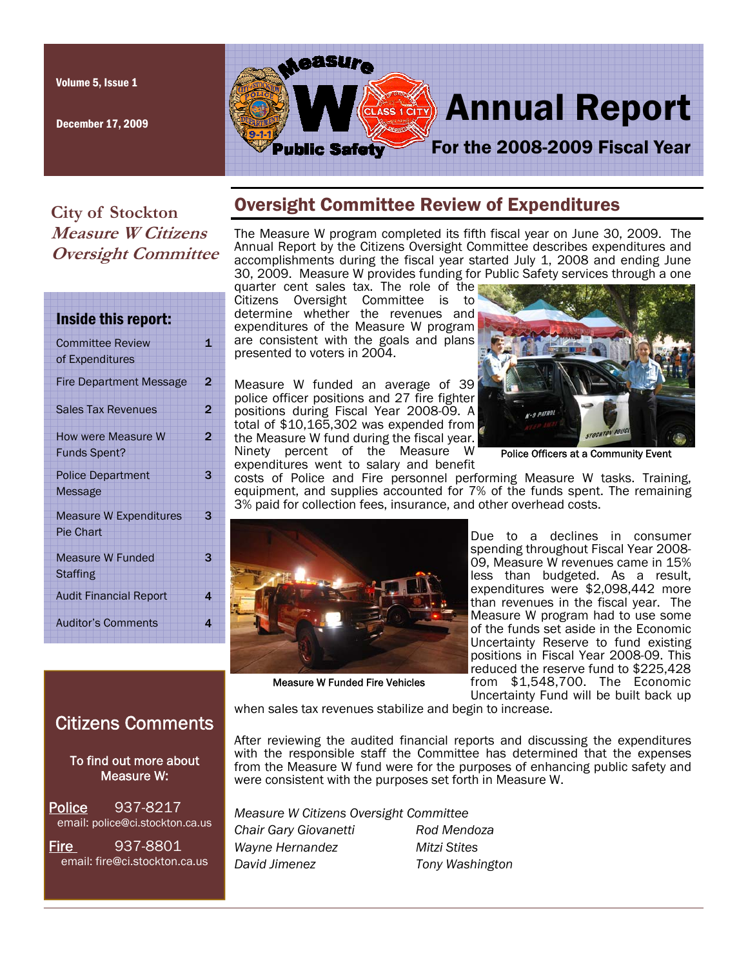Volume 5, Issue 1

December 17, 2009



## **City of Stockton Measure W Citizens Oversight Committee**

| Inside this report:                               |   |
|---------------------------------------------------|---|
| <b>Committee Review</b><br>of Expenditures        | 1 |
| <b>Fire Department Message</b>                    | 2 |
| <b>Sales Tax Revenues</b>                         | 2 |
| How were Measure W<br><b>Funds Spent?</b>         | 2 |
| <b>Police Department</b><br>Message               | 3 |
| <b>Measure W Expenditures</b><br><b>Pie Chart</b> | 3 |
| <b>Measure W Funded</b><br><b>Staffing</b>        | 3 |
| <b>Audit Financial Report</b>                     | 4 |
| <b>Auditor's Comments</b>                         | 4 |

# Oversight Committee Review of Expenditures

The Measure W program completed its fifth fiscal year on June 30, 2009. The Annual Report by the Citizens Oversight Committee describes expenditures and accomplishments during the fiscal year started July 1, 2008 and ending June 30, 2009. Measure W provides funding for Public Safety services through a one

quarter cent sales tax. The role of the Citizens Oversight Committee is to determine whether the revenues and expenditures of the Measure W program are consistent with the goals and plans presented to voters in 2004.

Measure W funded an average of 39 police officer positions and 27 fire fighter positions during Fiscal Year 2008-09. A total of \$10,165,302 was expended from the Measure W fund during the fiscal year. Ninety percent of the Measure W expenditures went to salary and benefit



Police Officers at a Community Event

costs of Police and Fire personnel performing Measure W tasks. Training, equipment, and supplies accounted for 7% of the funds spent. The remaining 3% paid for collection fees, insurance, and other overhead costs.



Due to a declines in consumer spending throughout Fiscal Year 2008- 09, Measure W revenues came in 15% less than budgeted. As a result, expenditures were \$2,098,442 more than revenues in the fiscal year. The Measure W program had to use some of the funds set aside in the Economic Uncertainty Reserve to fund existing positions in Fiscal Year 2008-09. This reduced the reserve fund to \$225,428 from \$1,548,700. The Economic Uncertainty Fund will be built back up

Measure W Funded Fire Vehicles

when sales tax revenues stabilize and begin to increase.

Citizens Comments

 To find out more about Measure W:

Police 937-8217 email: police@ci.stockton.ca.us

Fire 937-8801 email: fire@ci.stockton.ca.us After reviewing the audited financial reports and discussing the expenditures with the responsible staff the Committee has determined that the expenses from the Measure W fund were for the purposes of enhancing public safety and were consistent with the purposes set forth in Measure W.

*Measure W Citizens Oversight Committee Chair Gary Giovanetti Rod Mendoza Wayne Hernandez Mitzi Stites David Jimenez Tony Washington*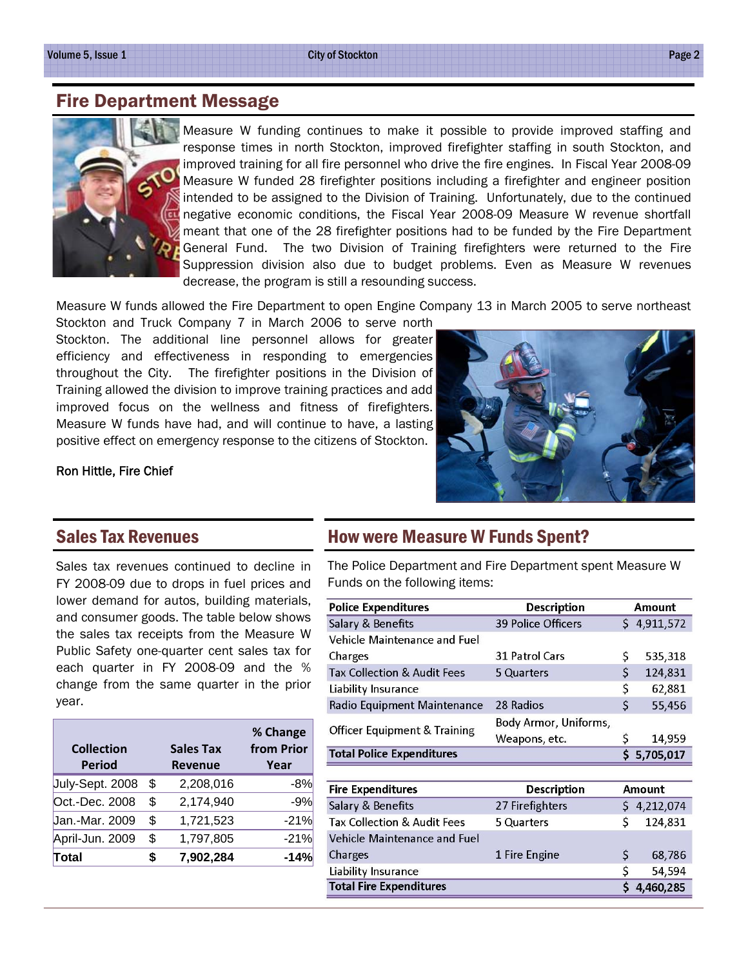City of Stockton Page 2

## Fire Department Message



Measure W funding continues to make it possible to provide improved staffing and response times in north Stockton, improved firefighter staffing in south Stockton, and improved training for all fire personnel who drive the fire engines. In Fiscal Year 2008-09 Measure W funded 28 firefighter positions including a firefighter and engineer position intended to be assigned to the Division of Training. Unfortunately, due to the continued negative economic conditions, the Fiscal Year 2008-09 Measure W revenue shortfall meant that one of the 28 firefighter positions had to be funded by the Fire Department General Fund. The two Division of Training firefighters were returned to the Fire Suppression division also due to budget problems. Even as Measure W revenues decrease, the program is still a resounding success.

Measure W funds allowed the Fire Department to open Engine Company 13 in March 2005 to serve northeast

Stockton and Truck Company 7 in March 2006 to serve north Stockton. The additional line personnel allows for greater efficiency and effectiveness in responding to emergencies throughout the City. The firefighter positions in the Division of Training allowed the division to improve training practices and add improved focus on the wellness and fitness of firefighters. Measure W funds have had, and will continue to have, a lasting positive effect on emergency response to the citizens of Stockton.

#### Ron Hittle, Fire Chief

#### Sales Tax Revenues

Sales tax revenues continued to decline in FY 2008-09 due to drops in fuel prices and lower demand for autos, building materials, and consumer goods. The table below shows the sales tax receipts from the Measure W Public Safety one-quarter cent sales tax for each quarter in FY 2008-09 and the % change from the same quarter in the prior year.

| <b>Collection</b> |    | <b>Sales Tax</b> | % Change<br>from Prior |
|-------------------|----|------------------|------------------------|
| <b>Period</b>     |    | <b>Revenue</b>   | Year                   |
| July-Sept. 2008   | \$ | 2,208,016        | -8%                    |
| Oct.-Dec. 2008    | \$ | 2,174,940        | $-9%$                  |
| Jan.-Mar. 2009    | \$ | 1,721,523        | $-21%$                 |
| April-Jun. 2009   | \$ | 1,797,805        | $-21%$                 |
| Total             | S  | 7,902,284        | -14%                   |

#### How were Measure W Funds Spent?

The Police Department and Fire Department spent Measure W Funds on the following items:

| <b>Police Expenditures</b>              | <b>Description</b>    |         | Amount      |
|-----------------------------------------|-----------------------|---------|-------------|
| Salary & Benefits                       | 39 Police Officers    |         | \$4,911,572 |
| Vehicle Maintenance and Fuel            |                       |         |             |
| Charges                                 | 31 Patrol Cars        | \$      | 535,318     |
| <b>Tax Collection &amp; Audit Fees</b>  | 5 Quarters            | \$      | 124,831     |
| Liability Insurance                     |                       | \$      | 62,881      |
| Radio Equipment Maintenance             | 28 Radios             | $\zeta$ | 55,456      |
| <b>Officer Equipment &amp; Training</b> | Body Armor, Uniforms, |         |             |
|                                         | Weapons, etc.         | \$      | 14,959      |
| <b>Total Police Expenditures</b>        |                       | Ś.      | 5,705,017   |
|                                         |                       |         |             |
| <b>Fire Expenditures</b>                | Description           | Amount  |             |
| Salary & Benefits                       | 27 Firefighters       | S       | 4,212,074   |
| Tax Collection & Audit Fees             | 5 Quarters            | Ś       | 124,831     |
| Vehicle Maintenance and Fuel            |                       |         |             |
| Charges                                 | 1 Fire Engine         | \$      | 68,786      |
| Liability Insurance                     |                       | \$      | 54,594      |
| <b>Total Fire Expenditures</b>          |                       | Ś       | 4,460,285   |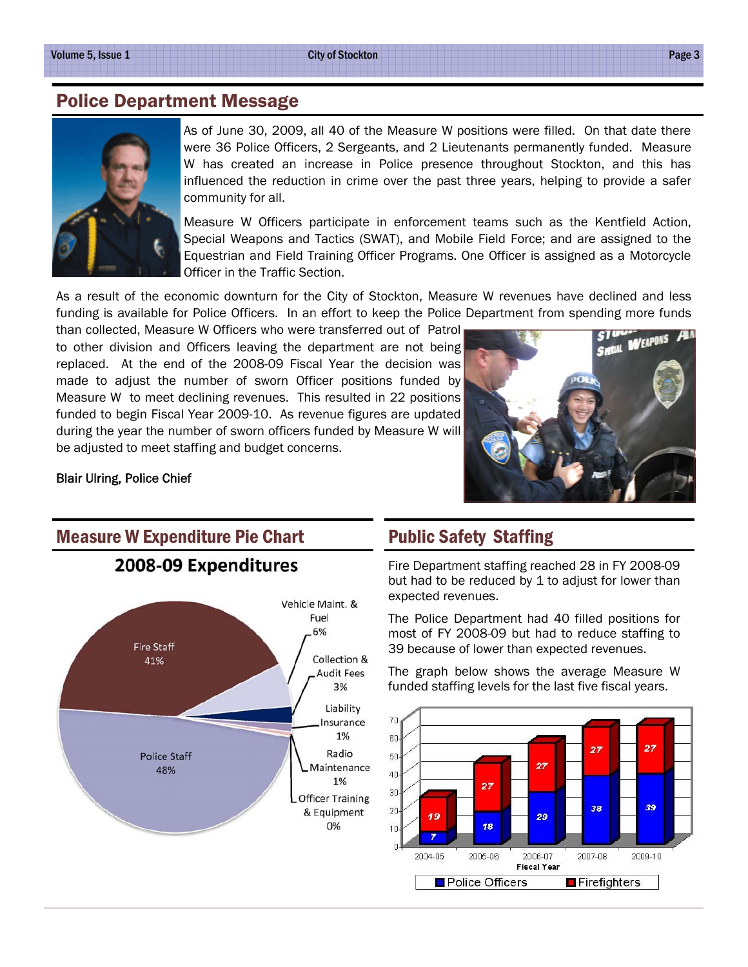#### Police Department Message



As of June 30, 2009, all 40 of the Measure W positions were filled. On that date there were 36 Police Officers, 2 Sergeants, and 2 Lieutenants permanently funded. Measure W has created an increase in Police presence throughout Stockton, and this has influenced the reduction in crime over the past three years, helping to provide a safer community for all.

Measure W Officers participate in enforcement teams such as the Kentfield Action, Special Weapons and Tactics (SWAT), and Mobile Field Force; and are assigned to the Equestrian and Field Training Officer Programs. One Officer is assigned as a Motorcycle Officer in the Traffic Section.

As a result of the economic downturn for the City of Stockton, Measure W revenues have declined and less funding is available for Police Officers. In an effort to keep the Police Department from spending more funds

than collected, Measure W Officers who were transferred out of Patrol to other division and Officers leaving the department are not being replaced. At the end of the 2008-09 Fiscal Year the decision was made to adjust the number of sworn Officer positions funded by Measure W to meet declining revenues. This resulted in 22 positions funded to begin Fiscal Year 2009-10. As revenue figures are updated during the year the number of sworn officers funded by Measure W will be adjusted to meet staffing and budget concerns.



#### Blair Ulring, Police Chief

#### Measure W Expenditure Pie Chart





#### Public Safety Staffing

Fire Department staffing reached 28 in FY 2008-09 but had to be reduced by 1 to adjust for lower than expected revenues.

The Police Department had 40 filled positions for most of FY 2008-09 but had to reduce staffing to 39 because of lower than expected revenues.

The graph below shows the average Measure W funded staffing levels for the last five fiscal years.